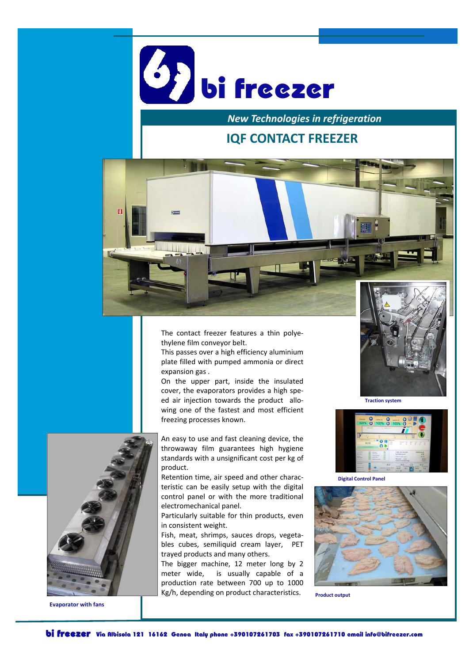

*New Technologies in refrigeration*

## **IQF CONTACT FREEZER**



The contact freezer features a thin polye‐ thylene film conveyor belt.

This passes over a high efficiency aluminium plate filled with pumped ammonia or direct expansion gas .

On the upper part, inside the insulated cover, the evaporators provides a high spe‐ ed air injection towards the product allowing one of the fastest and most efficient freezing processes known.



**Evaporator with fans**

An easy to use and fast cleaning device, the throwaway film guarantees high hygiene standards with a unsignificant cost per kg of product.

Retention time, air speed and other charac‐ teristic can be easily setup with the digital control panel or with the more traditional electromechanical panel.

Particularly suitable for thin products, even in consistent weight.

Fish, meat, shrimps, sauces drops, vegeta‐ bles cubes, semiliquid cream layer, PET trayed products and many others.

The bigger machine, 12 meter long by 2 meter wide, is usually capable of a production rate between 700 up to 1000 Kg/h, depending on product characteristics.



**Traction system**



**Digital Control Panel**



**Product output**